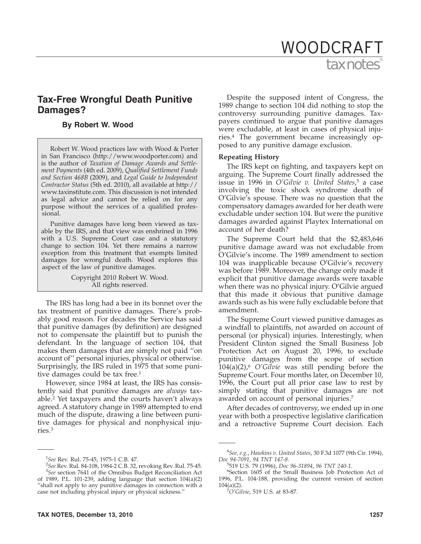# tax notes WOODCRAFT

# **Tax-Free Wrongful Death Punitive Damages?**

# **By Robert W. Wood**

Robert W. Wood practices law with Wood & Porter in San Francisco (http://www.woodporter.com) and is the author of *Taxation of Damage Awards and Settlement Payments* (4th ed. 2009), *Qualified Settlement Funds and Section 468B* (2009), and *Legal Guide to Independent Contractor Status* (5th ed. 2010), all available at http:// www.taxinstitute.com. This discussion is not intended as legal advice and cannot be relied on for any purpose without the services of a qualified professional.

Punitive damages have long been viewed as taxable by the IRS, and that view was enshrined in 1996 with a U.S. Supreme Court case and a statutory change to section 104. Yet there remains a narrow exception from this treatment that exempts limited damages for wrongful death. Wood explores this aspect of the law of punitive damages.

> Copyright 2010 Robert W. Wood. All rights reserved.

The IRS has long had a bee in its bonnet over the tax treatment of punitive damages. There's probably good reason. For decades the Service has said that punitive damages (by definition) are designed not to compensate the plaintiff but to punish the defendant. In the language of section 104, that makes them damages that are simply not paid ''on account of'' personal injuries, physical or otherwise. Surprisingly, the IRS ruled in 1975 that some punitive damages could be tax free.<sup>1</sup>

However, since 1984 at least, the IRS has consistently said that punitive damages are *always* taxable.2 Yet taxpayers and the courts haven't always agreed. A statutory change in 1989 attempted to end much of the dispute, drawing a line between punitive damages for physical and nonphysical injuries.3

Despite the supposed intent of Congress, the 1989 change to section 104 did nothing to stop the controversy surrounding punitive damages. Taxpayers continued to argue that punitive damages were excludable, at least in cases of physical injuries.4 The government became increasingly opposed to any punitive damage exclusion.

# **Repeating History**

The IRS kept on fighting, and taxpayers kept on arguing. The Supreme Court finally addressed the issue in 1996 in *O'Gilvie v. United States*, <sup>5</sup> a case involving the toxic shock syndrome death of O'Gilvie's spouse. There was no question that the compensatory damages awarded for her death were excludable under section 104. But were the punitive damages awarded against Playtex International on account of her death?

The Supreme Court held that the \$2,483,646 punitive damage award was not excludable from O'Gilvie's income. The 1989 amendment to section 104 was inapplicable because O'Gilvie's recovery was before 1989. Moreover, the change only made it explicit that punitive damage awards were taxable when there was no physical injury. O'Gilvie argued that this made it obvious that punitive damage awards such as his were fully excludable before that amendment.

The Supreme Court viewed punitive damages as a windfall to plaintiffs, not awarded on account of personal (or physical) injuries. Interestingly, when President Clinton signed the Small Business Job Protection Act on August 20, 1996, to exclude punitive damages from the scope of section 104(a)(2),6 *O'Gilvie* was still pending before the Supreme Court. Four months later, on December 10, 1996, the Court put all prior case law to rest by simply stating that punitive damages are not awarded on account of personal injuries.7

After decades of controversy, we ended up in one year with both a prospective legislative clarification and a retroactive Supreme Court decision. Each

<sup>&</sup>lt;sup>1</sup>See Rev. Rul. 75-45, 1975-1 C.B. 47.<br><sup>2</sup>See Rev. Rul. 84-108, 1984-2 C.B. 32.

<sup>&</sup>lt;sup>2</sup>See Rev. Rul. 84-108, 1984-2 C.B. 32, revoking Rev. Rul. 75-45. *See* section 7641 of the Omnibus Budget Reconciliation Act of 1989, P.L. 101-239, adding language that section 104(a)(2) ''shall not apply to any punitive damages in connection with a case not including physical injury or physical sickness.''

<sup>4</sup> *See, e.g.*, *Hawkins v. United States*, 30 F.3d 1077 (9th Cir. 1994), *Doc 94-7091*, *94 TNT 147-8*. <sup>5</sup>

<sup>519</sup> U.S. 79 (1996), *Doc 96-31894*, *96 TNT 240-1*. <sup>6</sup>

Section 1605 of the Small Business Job Protection Act of 1996, P.L. 104-188, providing the current version of section  $104(a)(2)$ .

*O'Gilvie*, 519 U.S. at 83-87.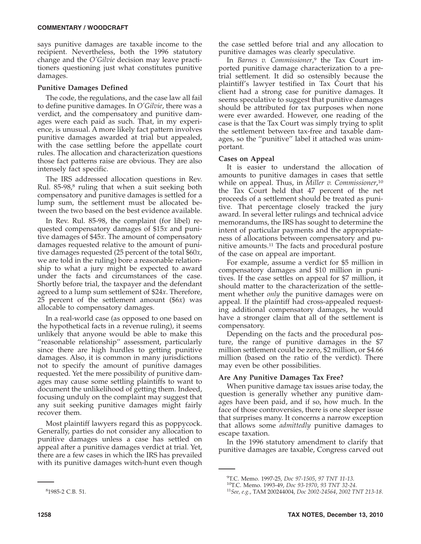says punitive damages are taxable income to the recipient. Nevertheless, both the 1996 statutory change and the *O'Gilvie* decision may leave practitioners questioning just what constitutes punitive damages.

# **Punitive Damages Defined**

The code, the regulations, and the case law all fail to define punitive damages. In *O'Gilvie*, there was a verdict, and the compensatory and punitive damages were each paid as such. That, in my experience, is unusual. A more likely fact pattern involves punitive damages awarded at trial but appealed, with the case settling before the appellate court rules. The allocation and characterization questions those fact patterns raise are obvious. They are also intensely fact specific.

The IRS addressed allocation questions in Rev. Rul. 85-98,<sup>8</sup> ruling that when a suit seeking both compensatory and punitive damages is settled for a lump sum, the settlement must be allocated between the two based on the best evidence available.

In Rev. Rul. 85-98, the complaint (for libel) requested compensatory damages of \$15*x* and punitive damages of \$45*x*. The amount of compensatory damages requested relative to the amount of punitive damages requested (25 percent of the total \$60*x*, we are told in the ruling) bore a reasonable relationship to what a jury might be expected to award under the facts and circumstances of the case. Shortly before trial, the taxpayer and the defendant agreed to a lump sum settlement of \$24*x*. Therefore, 25 percent of the settlement amount (\$6*x*) was allocable to compensatory damages.

In a real-world case (as opposed to one based on the hypothetical facts in a revenue ruling), it seems unlikely that anyone would be able to make this ''reasonable relationship'' assessment, particularly since there are high hurdles to getting punitive damages. Also, it is common in many jurisdictions not to specify the amount of punitive damages requested. Yet the mere possibility of punitive damages may cause some settling plaintiffs to want to document the unlikelihood of getting them. Indeed, focusing unduly on the complaint may suggest that any suit seeking punitive damages might fairly recover them.

Most plaintiff lawyers regard this as poppycock. Generally, parties do not consider any allocation to punitive damages unless a case has settled on appeal after a punitive damages verdict at trial. Yet, there are a few cases in which the IRS has prevailed with its punitive damages witch-hunt even though

the case settled before trial and any allocation to punitive damages was clearly speculative.

In *Barnes v. Commissioner*, <sup>9</sup> the Tax Court imported punitive damage characterization to a pretrial settlement. It did so ostensibly because the plaintiff's lawyer testified in Tax Court that his client had a strong case for punitive damages. It seems speculative to suggest that punitive damages should be attributed for tax purposes when none were ever awarded. However, one reading of the case is that the Tax Court was simply trying to split the settlement between tax-free and taxable damages, so the ''punitive'' label it attached was unimportant.

# **Cases on Appeal**

It is easier to understand the allocation of amounts to punitive damages in cases that settle while on appeal. Thus, in *Miller v. Commissioner*, 10 the Tax Court held that 47 percent of the net proceeds of a settlement should be treated as punitive. That percentage closely tracked the jury award. In several letter rulings and technical advice memorandums, the IRS has sought to determine the intent of particular payments and the appropriateness of allocations between compensatory and punitive amounts.11 The facts and procedural posture of the case on appeal are important.

For example, assume a verdict for \$5 million in compensatory damages and \$10 million in punitives. If the case settles on appeal for \$7 million, it should matter to the characterization of the settlement whether *only* the punitive damages were on appeal. If the plaintiff had cross-appealed requesting additional compensatory damages, he would have a stronger claim that all of the settlement is compensatory.

Depending on the facts and the procedural posture, the range of punitive damages in the \$7 million settlement could be zero, \$2 million, or \$4.66 million (based on the ratio of the verdict). There may even be other possibilities.

# **Are Any Punitive Damages Tax Free?**

When punitive damage tax issues arise today, the question is generally whether any punitive damages have been paid, and if so, how much. In the face of those controversies, there is one sleeper issue that surprises many. It concerns a narrow exception that allows some *admittedly* punitive damages to escape taxation.

In the 1996 statutory amendment to clarify that punitive damages are taxable, Congress carved out

<sup>&</sup>lt;sup>9</sup>T.C. Memo. 1997-25, Doc 97-1505, 97 TNT 11-13.

T.C. Memo. 1997-25, *Doc 97-1505*, *97 TNT 11-13*. 10T.C. Memo. 1993-49, *Doc 93-1970*, *93 TNT 32-24*. <sup>11</sup>*See, e.g.*, TAM 200244004, *Doc 2002-24564*, *2002 TNT 213-18*.

<sup>8</sup> 1985-2 C.B. 51.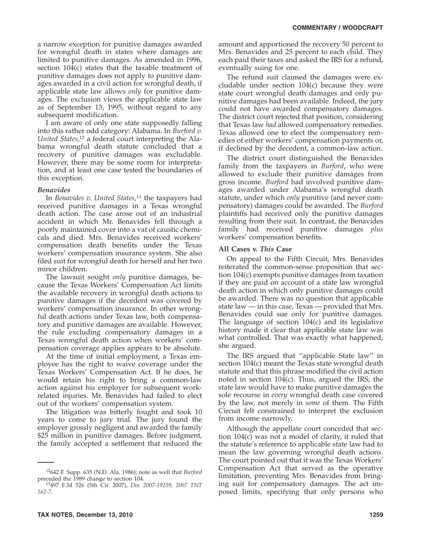a narrow exception for punitive damages awarded for wrongful death in states where damages are limited to punitive damages. As amended in 1996, section 104(c) states that the taxable treatment of punitive damages does not apply to punitive damages awarded in a civil action for wrongful death, if applicable state law allows *only* for punitive damages. The exclusion views the applicable state law as of September 13, 1995, without regard to any subsequent modification.

I am aware of only one state supposedly falling into this rather odd category: Alabama. In *Burford v. United States*, <sup>12</sup> a federal court interpreting the Alabama wrongful death statute concluded that a recovery of punitive damages was excludable. However, there may be some room for interpretation, and at least one case tested the boundaries of this exception.

## *Benavides*

In *Benavides v. United States*, <sup>13</sup> the taxpayers had received punitive damages in a Texas wrongful death action. The case arose out of an industrial accident in which Mr. Benavides fell through a poorly maintained cover into a vat of caustic chemicals and died. Mrs. Benavides received workers' compensation death benefits under the Texas workers' compensation insurance system. She also filed suit for wrongful death for herself and her two minor children.

The lawsuit sought *only* punitive damages, because the Texas Workers' Compensation Act limits the available recovery in wrongful death actions to punitive damages if the decedent was covered by workers' compensation insurance. In other wrongful death actions under Texas law, both compensatory and punitive damages are available. However, the rule excluding compensatory damages in a Texas wrongful death action when workers' compensation coverage applies appears to be absolute.

At the time of initial employment, a Texas employee has the right to waive coverage under the Texas Workers' Compensation Act. If he does, he would retain his right to bring a common-law action against his employer for subsequent workrelated injuries. Mr. Benavides had failed to elect out of the workers' compensation system.

The litigation was bitterly fought and took 10 years to come to jury trial. The jury found the employer grossly negligent and awarded the family \$25 million in punitive damages. Before judgment, the family accepted a settlement that reduced the

The refund suit claimed the damages were excludable under section 104(c) because they were state court wrongful death damages and only punitive damages had been available. Indeed, the jury could not have awarded compensatory damages. The district court rejected that position, considering that Texas law *had* allowed compensatory remedies. Texas allowed one to elect the compensatory remedies of either workers' compensation payments or, if declined by the decedent, a common-law action.

The district court distinguished the Benavides family from the taxpayers in *Burford*, who were allowed to exclude their punitive damages from gross income. *Burford* had involved punitive damages awarded under Alabama's wrongful death statute, under which *only* punitive (and never compensatory) damages could be awarded. The *Burford* plaintiffs had received only the punitive damages resulting from their suit. In contrast, the Benavides family had received punitive damages *plus* workers' compensation benefits.

## **All Cases v.** *This* **Case**

On appeal to the Fifth Circuit, Mrs. Benavides reiterated the common-sense proposition that section 104(c) exempts punitive damages from taxation if they are paid on account of a state law wrongful death action in which only punitive damages could be awarded. There was no question that applicable state law — in this case, Texas — provided that Mrs. Benavides could sue only for punitive damages. The language of section 104(c) and its legislative history made it clear that applicable state law was what controlled. That was exactly what happened, she argued.

The IRS argued that ''applicable State law'' in section 104(c) meant the Texas state wrongful death statute and that this phrase modified the civil action noted in section 104(c). Thus, argued the IRS, the state law would have to make punitive damages the sole recourse in *every* wrongful death case covered by the law, not merely in *some* of them. The Fifth Circuit felt constrained to interpret the exclusion from income narrowly.

Although the appellate court conceded that section 104(c) was not a model of clarity, it ruled that the statute's reference to applicable state law had to mean the law governing wrongful death actions. The court pointed out that it was the Texas Workers' Compensation Act that served as the operative limitation, preventing Mrs. Benavides from bringing suit for compensatory damages. The act imposed limits, specifying that only persons who

 $12642$  F. Supp. 635 (N.D. Ala. 1986); note as well that *Burford* preceded the 1989 change to section 104.

preceded the 1989 change to section 104. 13497 F.3d 526 (5th Cir. 2007), *Doc 2007-19259*, *2007 TNT 162-7*.